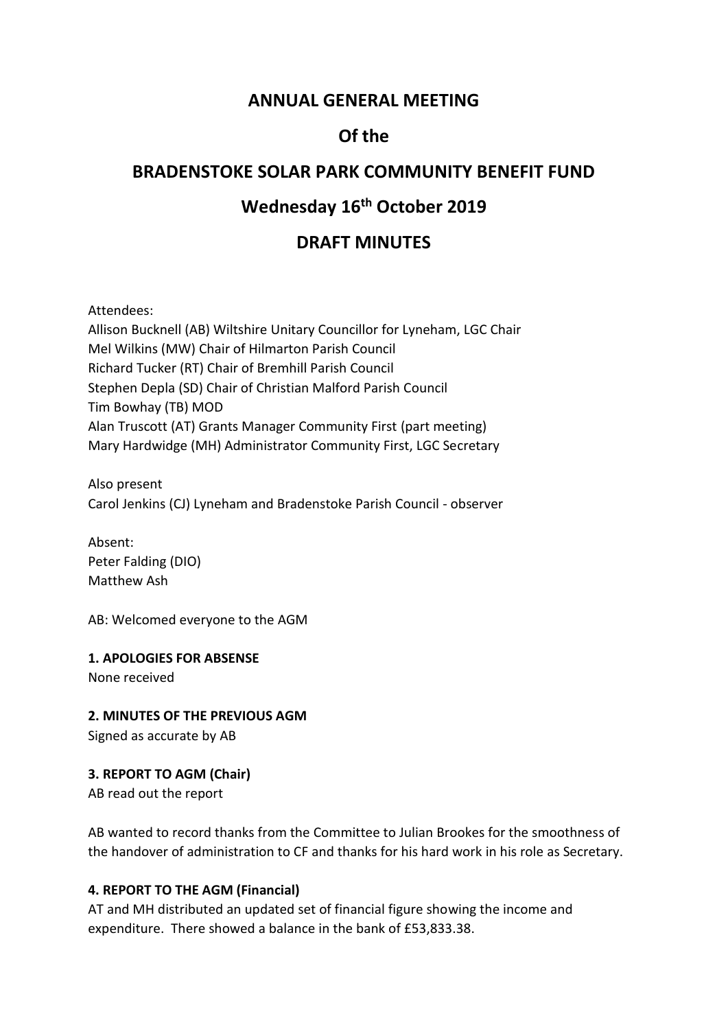# **ANNUAL GENERAL MEETING**

# **Of the**

# **BRADENSTOKE SOLAR PARK COMMUNITY BENEFIT FUND**

# **Wednesday 16th October 2019**

# **DRAFT MINUTES**

Attendees:

Allison Bucknell (AB) Wiltshire Unitary Councillor for Lyneham, LGC Chair Mel Wilkins (MW) Chair of Hilmarton Parish Council Richard Tucker (RT) Chair of Bremhill Parish Council Stephen Depla (SD) Chair of Christian Malford Parish Council Tim Bowhay (TB) MOD Alan Truscott (AT) Grants Manager Community First (part meeting) Mary Hardwidge (MH) Administrator Community First, LGC Secretary

Also present Carol Jenkins (CJ) Lyneham and Bradenstoke Parish Council - observer

Absent: Peter Falding (DIO) Matthew Ash

AB: Welcomed everyone to the AGM

**1. APOLOGIES FOR ABSENSE**

None received

**2. MINUTES OF THE PREVIOUS AGM** Signed as accurate by AB

**3. REPORT TO AGM (Chair)**

AB read out the report

AB wanted to record thanks from the Committee to Julian Brookes for the smoothness of the handover of administration to CF and thanks for his hard work in his role as Secretary.

## **4. REPORT TO THE AGM (Financial)**

AT and MH distributed an updated set of financial figure showing the income and expenditure. There showed a balance in the bank of £53,833.38.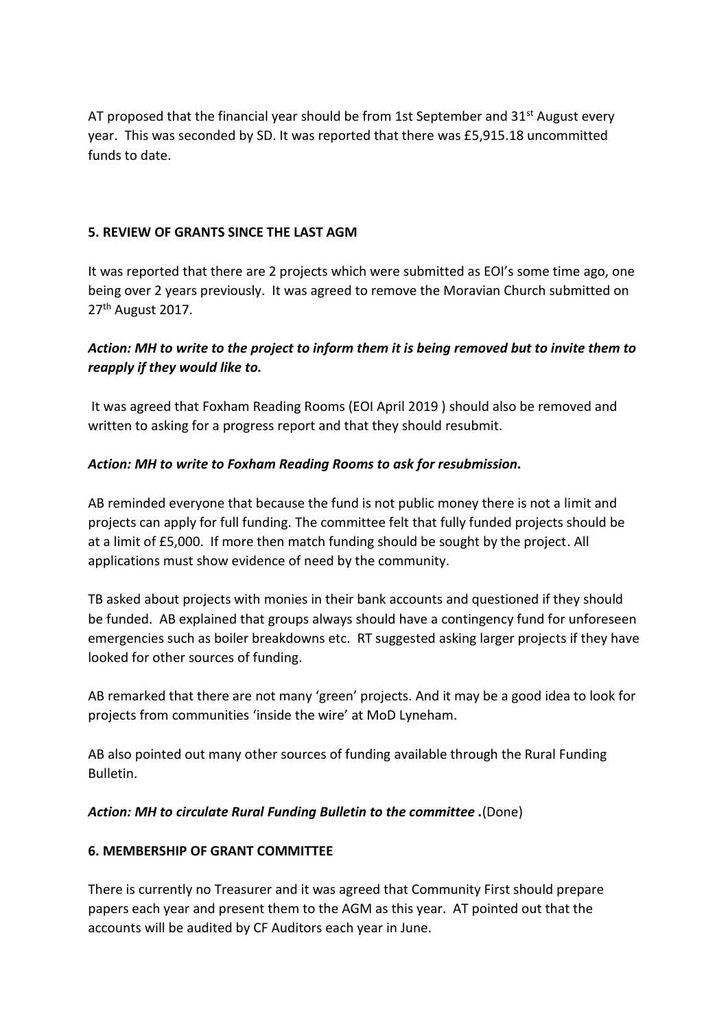AT proposed that the financial year should be from 1st September and  $31^{st}$  August every year. This was seconded by SD. It was reported that there was £5,915.18 uncommitted funds to date.

#### **5. REVIEW OF GRANTS SINCE THE LAST AGM**

It was reported that there are 2 projects which were submitted as EOI's some time ago, one being over 2 years previously. It was agreed to remove the Moravian Church submitted on 27<sup>th</sup> August 2017.

## *Action: MH to write to the project to inform them it is being removed but to invite them to reapply if they would like to.*

It was agreed that Foxham Reading Rooms (EOI April 2019 ) should also be removed and written to asking for a progress report and that they should resubmit.

#### *Action: MH to write to Foxham Reading Rooms to ask for resubmission.*

AB reminded everyone that because the fund is not public money there is not a limit and projects can apply for full funding. The committee felt that fully funded projects should be at a limit of £5,000. If more then match funding should be sought by the project. All applications must show evidence of need by the community.

TB asked about projects with monies in their bank accounts and questioned if they should be funded. AB explained that groups always should have a contingency fund for unforeseen emergencies such as boiler breakdowns etc. RT suggested asking larger projects if they have looked for other sources of funding.

AB remarked that there are not many 'green' projects. And it may be a good idea to look for projects from communities 'inside the wire' at MoD Lyneham.

AB also pointed out many other sources of funding available through the Rural Funding Bulletin.

#### *Action: MH to circulate Rural Funding Bulletin to the committee .*(Done)

#### **6. MEMBERSHIP OF GRANT COMMITTEE**

There is currently no Treasurer and it was agreed that Community First should prepare papers each year and present them to the AGM as this year. AT pointed out that the accounts will be audited by CF Auditors each year in June.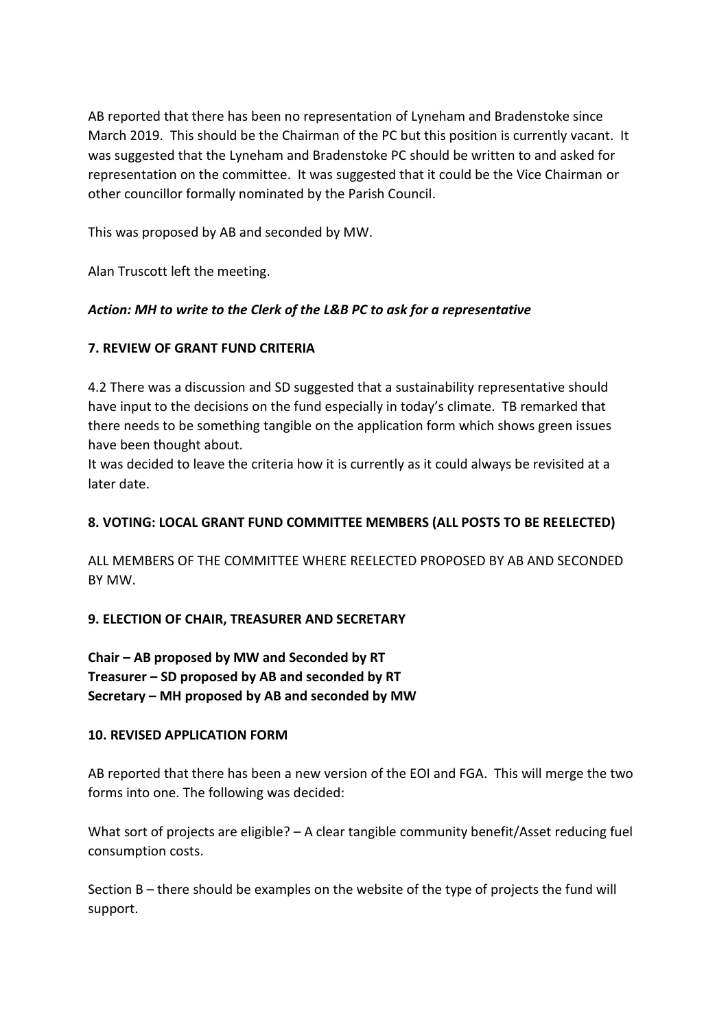AB reported that there has been no representation of Lyneham and Bradenstoke since March 2019. This should be the Chairman of the PC but this position is currently vacant. It was suggested that the Lyneham and Bradenstoke PC should be written to and asked for representation on the committee. It was suggested that it could be the Vice Chairman or other councillor formally nominated by the Parish Council.

This was proposed by AB and seconded by MW.

Alan Truscott left the meeting.

## *Action: MH to write to the Clerk of the L&B PC to ask for a representative*

## **7. REVIEW OF GRANT FUND CRITERIA**

4.2 There was a discussion and SD suggested that a sustainability representative should have input to the decisions on the fund especially in today's climate. TB remarked that there needs to be something tangible on the application form which shows green issues have been thought about.

It was decided to leave the criteria how it is currently as it could always be revisited at a later date.

## **8. VOTING: LOCAL GRANT FUND COMMITTEE MEMBERS (ALL POSTS TO BE REELECTED)**

ALL MEMBERS OF THE COMMITTEE WHERE REELECTED PROPOSED BY AB AND SECONDED BY MW.

## **9. ELECTION OF CHAIR, TREASURER AND SECRETARY**

**Chair – AB proposed by MW and Seconded by RT Treasurer – SD proposed by AB and seconded by RT Secretary – MH proposed by AB and seconded by MW**

## **10. REVISED APPLICATION FORM**

AB reported that there has been a new version of the EOI and FGA. This will merge the two forms into one. The following was decided:

What sort of projects are eligible? – A clear tangible community benefit/Asset reducing fuel consumption costs.

Section B – there should be examples on the website of the type of projects the fund will support.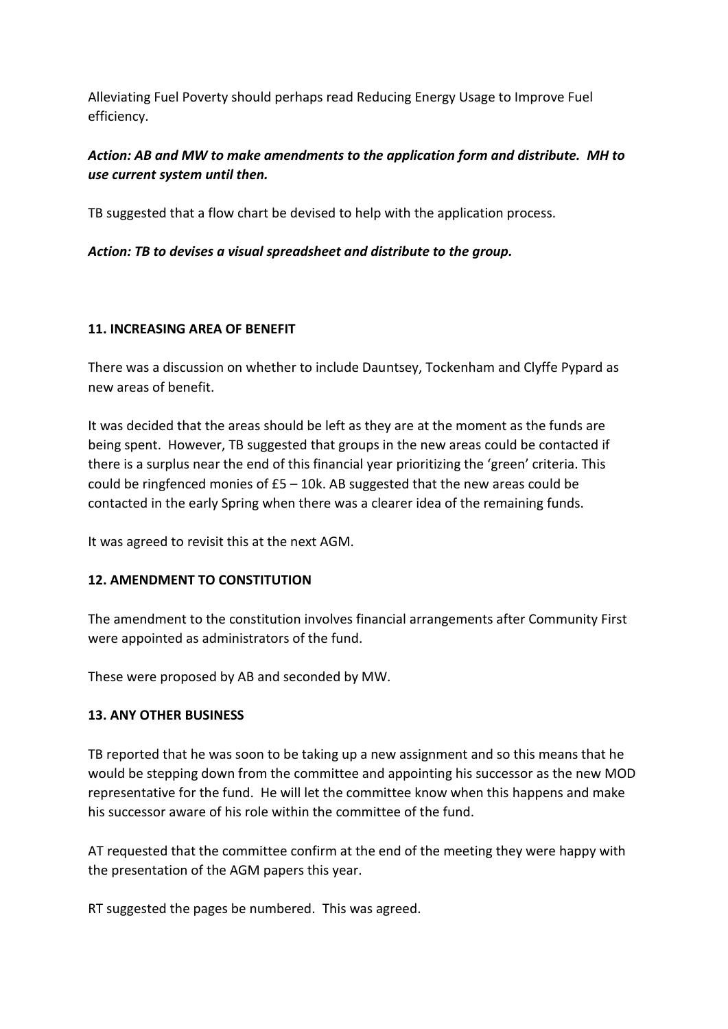Alleviating Fuel Poverty should perhaps read Reducing Energy Usage to Improve Fuel efficiency.

# *Action: AB and MW to make amendments to the application form and distribute. MH to use current system until then.*

TB suggested that a flow chart be devised to help with the application process.

*Action: TB to devises a visual spreadsheet and distribute to the group.*

## **11. INCREASING AREA OF BENEFIT**

There was a discussion on whether to include Dauntsey, Tockenham and Clyffe Pypard as new areas of benefit.

It was decided that the areas should be left as they are at the moment as the funds are being spent. However, TB suggested that groups in the new areas could be contacted if there is a surplus near the end of this financial year prioritizing the 'green' criteria. This could be ringfenced monies of  $E_5 - 10k$ . AB suggested that the new areas could be contacted in the early Spring when there was a clearer idea of the remaining funds.

It was agreed to revisit this at the next AGM.

## **12. AMENDMENT TO CONSTITUTION**

The amendment to the constitution involves financial arrangements after Community First were appointed as administrators of the fund.

These were proposed by AB and seconded by MW.

## **13. ANY OTHER BUSINESS**

TB reported that he was soon to be taking up a new assignment and so this means that he would be stepping down from the committee and appointing his successor as the new MOD representative for the fund. He will let the committee know when this happens and make his successor aware of his role within the committee of the fund.

AT requested that the committee confirm at the end of the meeting they were happy with the presentation of the AGM papers this year.

RT suggested the pages be numbered. This was agreed.